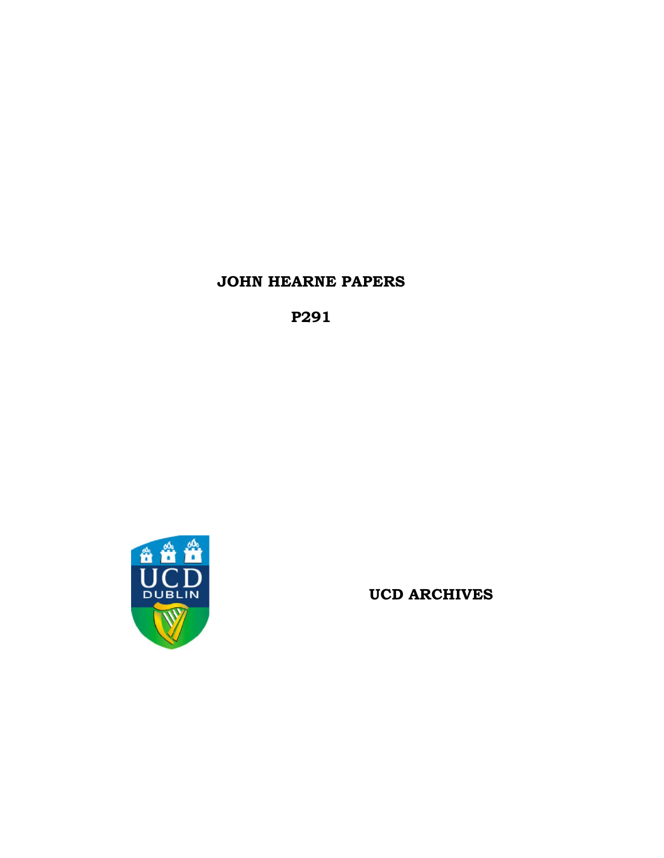# **JOHN HEARNE PAPERS**

**P291**



**UCD ARCHIVES**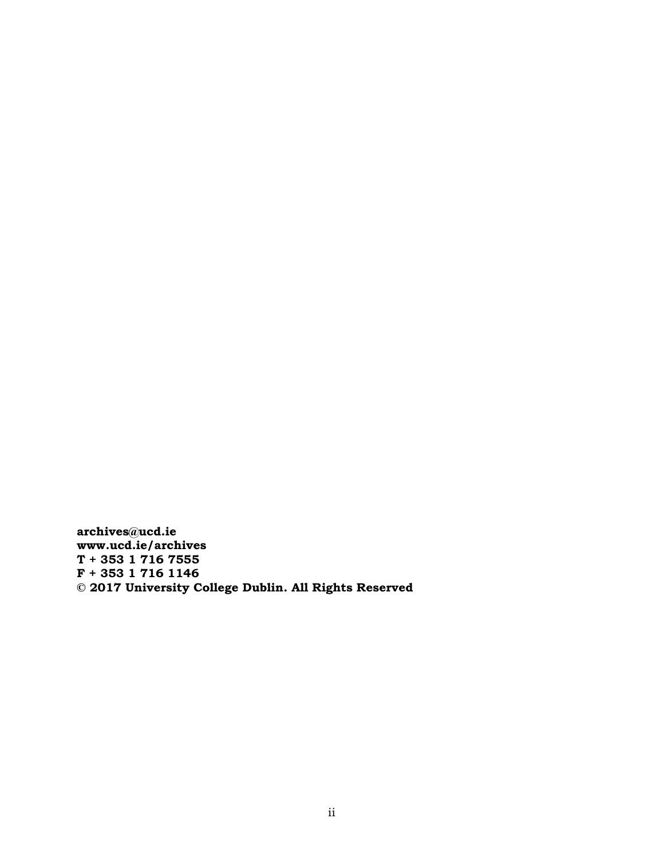**archives@ucd.ie www.ucd.ie/archives T + 353 1 716 7555 F + 353 1 716 1146 © 2017 University College Dublin. All Rights Reserved**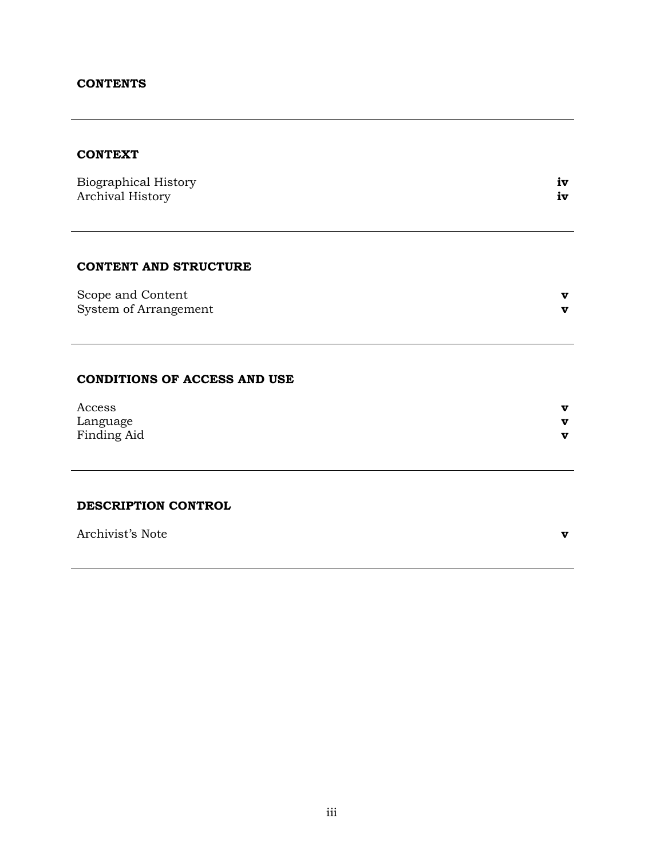### **CONTENTS**

# **CONTEXT**

| Biographical History |      |
|----------------------|------|
| Archival History     | i vz |

### **CONTENT AND STRUCTURE**

| Scope and Content     |  |
|-----------------------|--|
| System of Arrangement |  |

#### **CONDITIONS OF ACCESS AND USE**

| Access      | v |
|-------------|---|
| Language    | v |
| Finding Aid | v |

# **DESCRIPTION CONTROL**

Archivist's Note **v**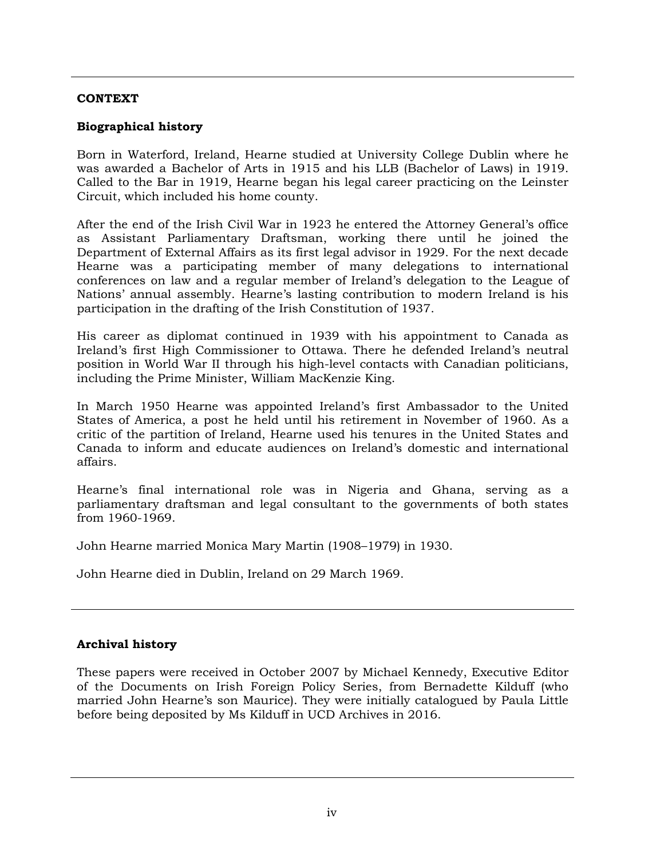# **CONTEXT**

# **Biographical history**

Born in Waterford, Ireland, Hearne studied at University College Dublin where he was awarded a Bachelor of Arts in 1915 and his LLB (Bachelor of Laws) in 1919. Called to the Bar in 1919, Hearne began his legal career practicing on the Leinster Circuit, which included his home county.

After the end of the Irish Civil War in 1923 he entered the Attorney General's office as Assistant Parliamentary Draftsman, working there until he joined the Department of External Affairs as its first legal advisor in 1929. For the next decade Hearne was a participating member of many delegations to international conferences on law and a regular member of Ireland's delegation to the League of Nations' annual assembly. Hearne's lasting contribution to modern Ireland is his participation in the drafting of the Irish Constitution of 1937.

His career as diplomat continued in 1939 with his appointment to Canada as Ireland's first High Commissioner to Ottawa. There he defended Ireland's neutral position in World War II through his high-level contacts with Canadian politicians, including the Prime Minister, William MacKenzie King.

In March 1950 Hearne was appointed Ireland's first Ambassador to the United States of America, a post he held until his retirement in November of 1960. As a critic of the partition of Ireland, Hearne used his tenures in the United States and Canada to inform and educate audiences on Ireland's domestic and international affairs.

Hearne's final international role was in Nigeria and Ghana, serving as a parliamentary draftsman and legal consultant to the governments of both states from 1960-1969.

John Hearne married Monica Mary Martin (1908–1979) in 1930.

John Hearne died in Dublin, Ireland on 29 March 1969.

# **Archival history**

These papers were received in October 2007 by Michael Kennedy, Executive Editor of the Documents on Irish Foreign Policy Series, from Bernadette Kilduff (who married John Hearne's son Maurice). They were initially catalogued by Paula Little before being deposited by Ms Kilduff in UCD Archives in 2016.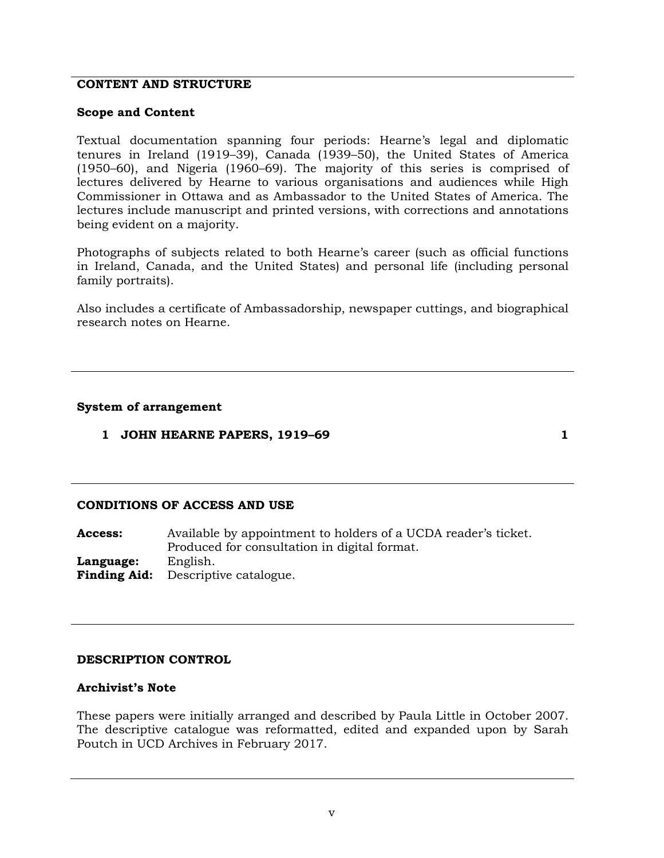## **CONTENT AND STRUCTURE**

#### **Scope and Content**

Textual documentation spanning four periods: Hearne's legal and diplomatic tenures in Ireland (1919–39), Canada (1939–50), the United States of America (1950–60), and Nigeria (1960–69). The majority of this series is comprised of lectures delivered by Hearne to various organisations and audiences while High Commissioner in Ottawa and as Ambassador to the United States of America. The lectures include manuscript and printed versions, with corrections and annotations being evident on a majority.

Photographs of subjects related to both Hearne's career (such as official functions in Ireland, Canada, and the United States) and personal life (including personal family portraits).

Also includes a certificate of Ambassadorship, newspaper cuttings, and biographical research notes on Hearne.

#### **System of arrangement**

**1 JOHN HEARNE PAPERS, 1919–69 1**

### **CONDITIONS OF ACCESS AND USE**

**Access:** Available by appointment to holders of a UCDA reader's ticket. Produced for consultation in digital format. **Language:** English. **Finding Aid:** Descriptive catalogue.

### **DESCRIPTION CONTROL**

#### **Archivist's Note**

These papers were initially arranged and described by Paula Little in October 2007. The descriptive catalogue was reformatted, edited and expanded upon by Sarah Poutch in UCD Archives in February 2017.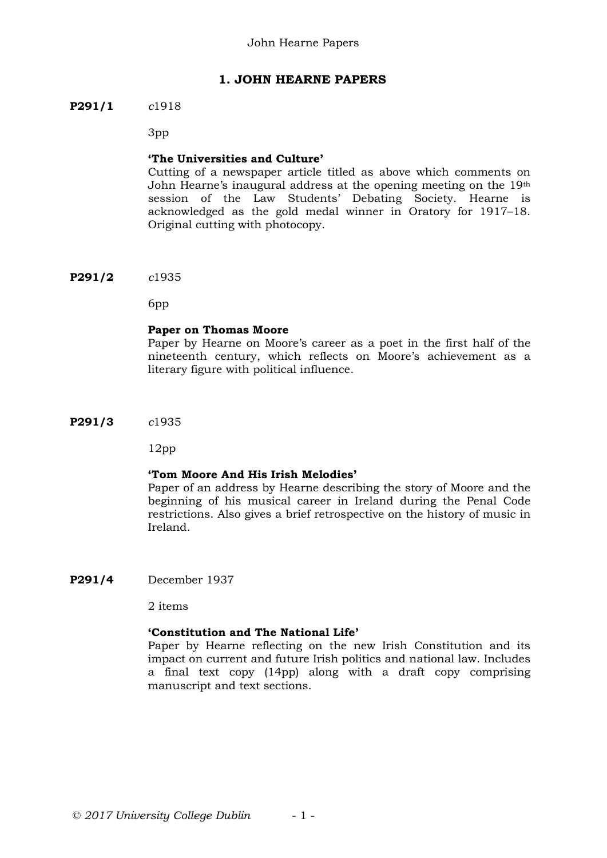# **1. JOHN HEARNE PAPERS**

### **P291/1** *c*1918

3pp

### **'The Universities and Culture'**

Cutting of a newspaper article titled as above which comments on John Hearne's inaugural address at the opening meeting on the 19th session of the Law Students' Debating Society. Hearne is acknowledged as the gold medal winner in Oratory for 1917–18. Original cutting with photocopy.

**P291/2** *c*1935

6pp

### **Paper on Thomas Moore**

Paper by Hearne on Moore's career as a poet in the first half of the nineteenth century, which reflects on Moore's achievement as a literary figure with political influence.

**P291/3** *c*1935

12pp

### **'Tom Moore And His Irish Melodies'**

Paper of an address by Hearne describing the story of Moore and the beginning of his musical career in Ireland during the Penal Code restrictions. Also gives a brief retrospective on the history of music in Ireland.

**P291/4** December 1937

2 items

### **'Constitution and The National Life'**

Paper by Hearne reflecting on the new Irish Constitution and its impact on current and future Irish politics and national law. Includes a final text copy (14pp) along with a draft copy comprising manuscript and text sections.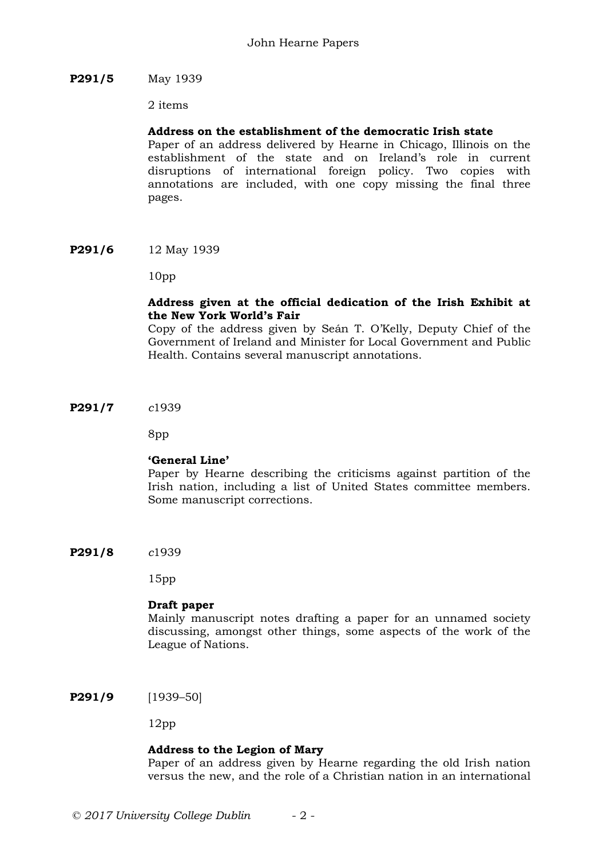## **P291/5** May 1939

2 items

## **Address on the establishment of the democratic Irish state**

Paper of an address delivered by Hearne in Chicago, Illinois on the establishment of the state and on Ireland's role in current disruptions of international foreign policy. Two copies with annotations are included, with one copy missing the final three pages.

**P291/6** 12 May 1939

10pp

## **Address given at the official dedication of the Irish Exhibit at the New York World's Fair**

Copy of the address given by Seán T. O'Kelly, Deputy Chief of the Government of Ireland and Minister for Local Government and Public Health. Contains several manuscript annotations.

**P291/7** *c*1939

8pp

# **'General Line'**

Paper by Hearne describing the criticisms against partition of the Irish nation, including a list of United States committee members. Some manuscript corrections.

**P291/8** *c*1939

15pp

### **Draft paper**

Mainly manuscript notes drafting a paper for an unnamed society discussing, amongst other things, some aspects of the work of the League of Nations.

**P291/9** [1939–50]

12pp

# **Address to the Legion of Mary**

Paper of an address given by Hearne regarding the old Irish nation versus the new, and the role of a Christian nation in an international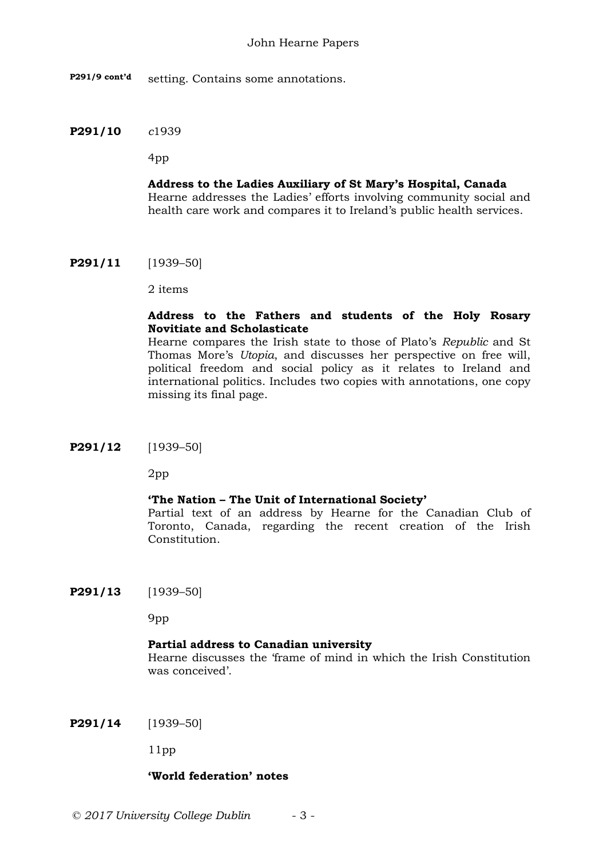**P291/9 cont'd** setting. Contains some annotations.

### **P291/10** *c*1939

4pp

# **Address to the Ladies Auxiliary of St Mary's Hospital, Canada**

Hearne addresses the Ladies' efforts involving community social and health care work and compares it to Ireland's public health services.

**P291/11** [1939–50]

2 items

# **Address to the Fathers and students of the Holy Rosary Novitiate and Scholasticate**

Hearne compares the Irish state to those of Plato's *Republic* and St Thomas More's *Utopia*, and discusses her perspective on free will, political freedom and social policy as it relates to Ireland and international politics. Includes two copies with annotations, one copy missing its final page.

**P291/12** [1939–50]

2pp

# **'The Nation – The Unit of International Society'**

Partial text of an address by Hearne for the Canadian Club of Toronto, Canada, regarding the recent creation of the Irish Constitution.

**P291/13** [1939–50]

9pp

# **Partial address to Canadian university**

Hearne discusses the 'frame of mind in which the Irish Constitution was conceived'.

**P291/14** [1939–50]

11pp

### **'World federation' notes**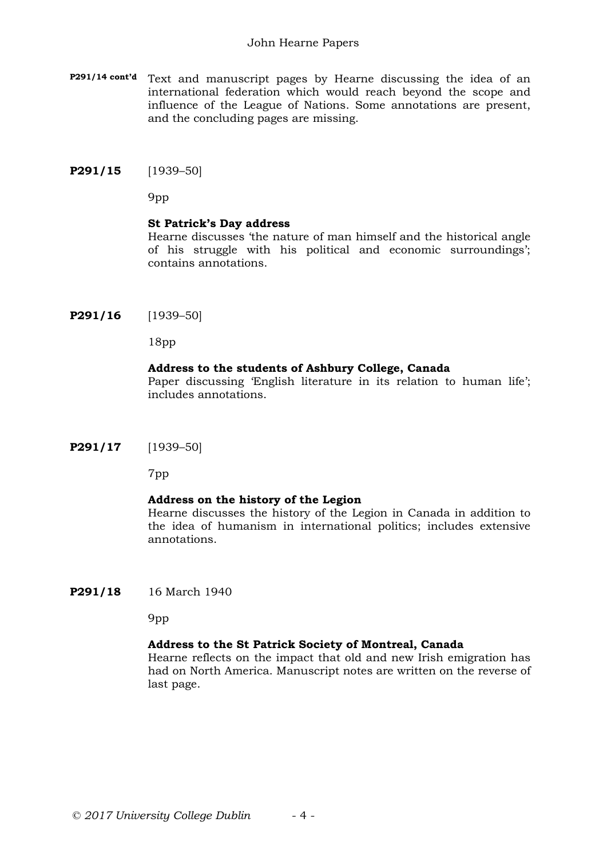#### John Hearne Papers

- **P291/14 cont'd** Text and manuscript pages by Hearne discussing the idea of an international federation which would reach beyond the scope and influence of the League of Nations. Some annotations are present, and the concluding pages are missing.
- **P291/15** [1939–50]

9pp

#### **St Patrick's Day address**

Hearne discusses 'the nature of man himself and the historical angle of his struggle with his political and economic surroundings'; contains annotations.

**P291/16** [1939–50]

18pp

### **Address to the students of Ashbury College, Canada**

Paper discussing 'English literature in its relation to human life'; includes annotations.

**P291/17** [1939–50]

7pp

### **Address on the history of the Legion**

Hearne discusses the history of the Legion in Canada in addition to the idea of humanism in international politics; includes extensive annotations.

**P291/18** 16 March 1940

9pp

### **Address to the St Patrick Society of Montreal, Canada**

Hearne reflects on the impact that old and new Irish emigration has had on North America. Manuscript notes are written on the reverse of last page.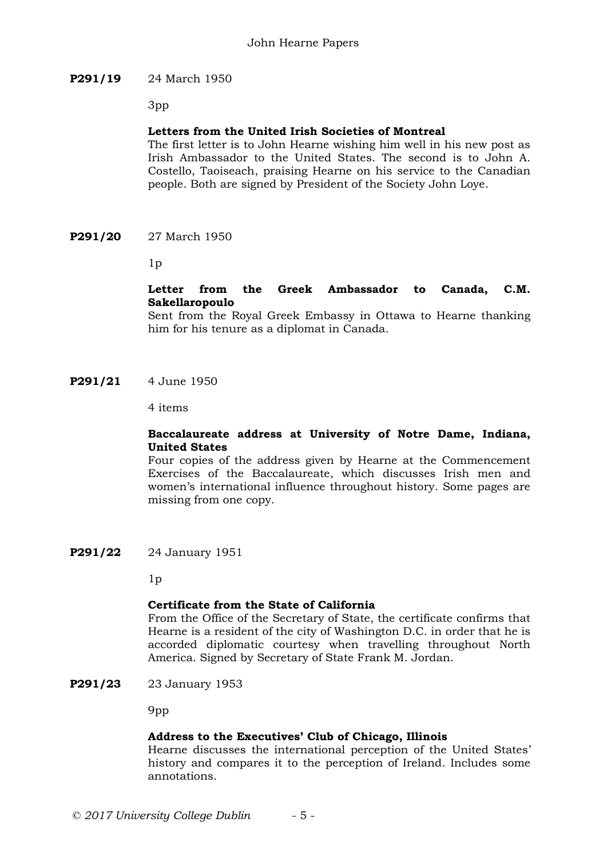# **P291/19** 24 March 1950

3pp

# **Letters from the United Irish Societies of Montreal**

The first letter is to John Hearne wishing him well in his new post as Irish Ambassador to the United States. The second is to John A. Costello, Taoiseach, praising Hearne on his service to the Canadian people. Both are signed by President of the Society John Loye.

**P291/20** 27 March 1950

 $1<sub>p</sub>$ 

# **Letter from the Greek Ambassador to Canada, C.M. Sakellaropoulo**

Sent from the Royal Greek Embassy in Ottawa to Hearne thanking him for his tenure as a diplomat in Canada.

**P291/21** 4 June 1950

4 items

# **Baccalaureate address at University of Notre Dame, Indiana, United States**

Four copies of the address given by Hearne at the Commencement Exercises of the Baccalaureate, which discusses Irish men and women's international influence throughout history. Some pages are missing from one copy.

**P291/22** 24 January 1951

 $1<sub>p</sub>$ 

# **Certificate from the State of California**

From the Office of the Secretary of State, the certificate confirms that Hearne is a resident of the city of Washington D.C. in order that he is accorded diplomatic courtesy when travelling throughout North America. Signed by Secretary of State Frank M. Jordan.

**P291/23** 23 January 1953

9pp

### **Address to the Executives' Club of Chicago, Illinois**

Hearne discusses the international perception of the United States' history and compares it to the perception of Ireland. Includes some annotations.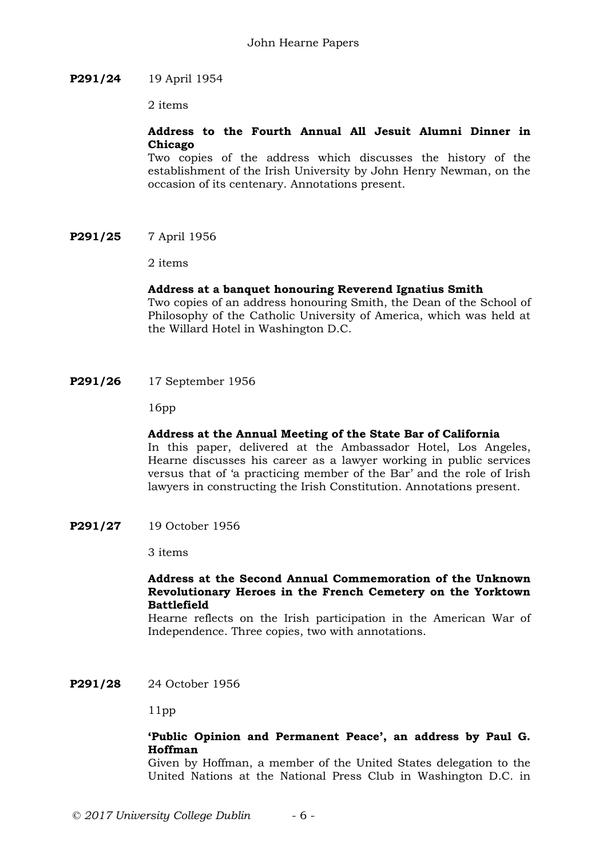### **P291/24** 19 April 1954

2 items

# **Address to the Fourth Annual All Jesuit Alumni Dinner in Chicago**

Two copies of the address which discusses the history of the establishment of the Irish University by John Henry Newman, on the occasion of its centenary. Annotations present.

**P291/25** 7 April 1956

2 items

## **Address at a banquet honouring Reverend Ignatius Smith**

Two copies of an address honouring Smith, the Dean of the School of Philosophy of the Catholic University of America, which was held at the Willard Hotel in Washington D.C.

**P291/26** 17 September 1956

16pp

### **Address at the Annual Meeting of the State Bar of California**

In this paper, delivered at the Ambassador Hotel, Los Angeles, Hearne discusses his career as a lawyer working in public services versus that of 'a practicing member of the Bar' and the role of Irish lawyers in constructing the Irish Constitution. Annotations present.

**P291/27** 19 October 1956

3 items

### **Address at the Second Annual Commemoration of the Unknown Revolutionary Heroes in the French Cemetery on the Yorktown Battlefield**

Hearne reflects on the Irish participation in the American War of Independence. Three copies, two with annotations.

**P291/28** 24 October 1956

11pp

# **'Public Opinion and Permanent Peace', an address by Paul G. Hoffman**

Given by Hoffman, a member of the United States delegation to the United Nations at the National Press Club in Washington D.C. in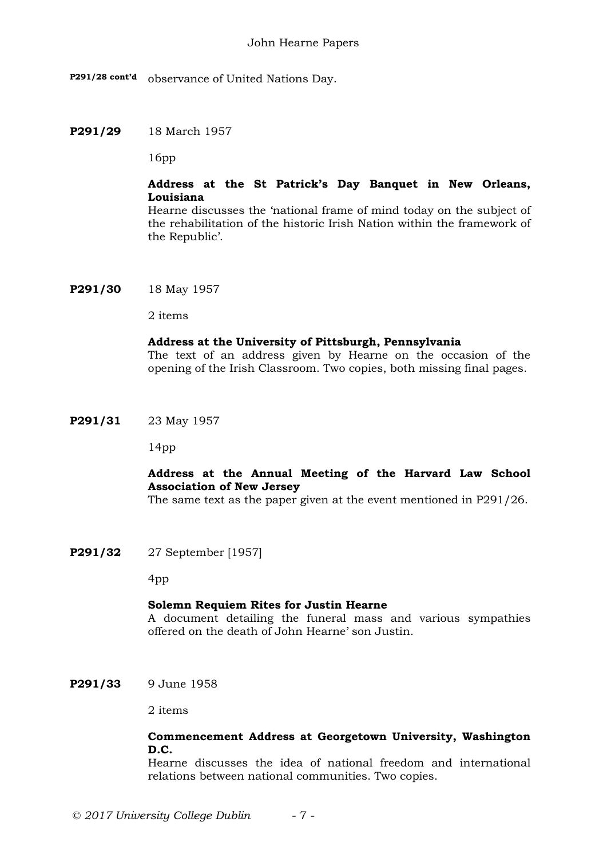**P291/28 cont'd** observance of United Nations Day.

**P291/29** 18 March 1957

16pp

# **Address at the St Patrick's Day Banquet in New Orleans, Louisiana**

Hearne discusses the 'national frame of mind today on the subject of the rehabilitation of the historic Irish Nation within the framework of the Republic'.

**P291/30** 18 May 1957

2 items

### **Address at the University of Pittsburgh, Pennsylvania**

The text of an address given by Hearne on the occasion of the opening of the Irish Classroom. Two copies, both missing final pages.

**P291/31** 23 May 1957

14pp

# **Address at the Annual Meeting of the Harvard Law School Association of New Jersey**

The same text as the paper given at the event mentioned in P291/26.

**P291/32** 27 September [1957]

4pp

### **Solemn Requiem Rites for Justin Hearne**

A document detailing the funeral mass and various sympathies offered on the death of John Hearne' son Justin.

**P291/33** 9 June 1958

2 items

# **Commencement Address at Georgetown University, Washington D.C.**

Hearne discusses the idea of national freedom and international relations between national communities. Two copies.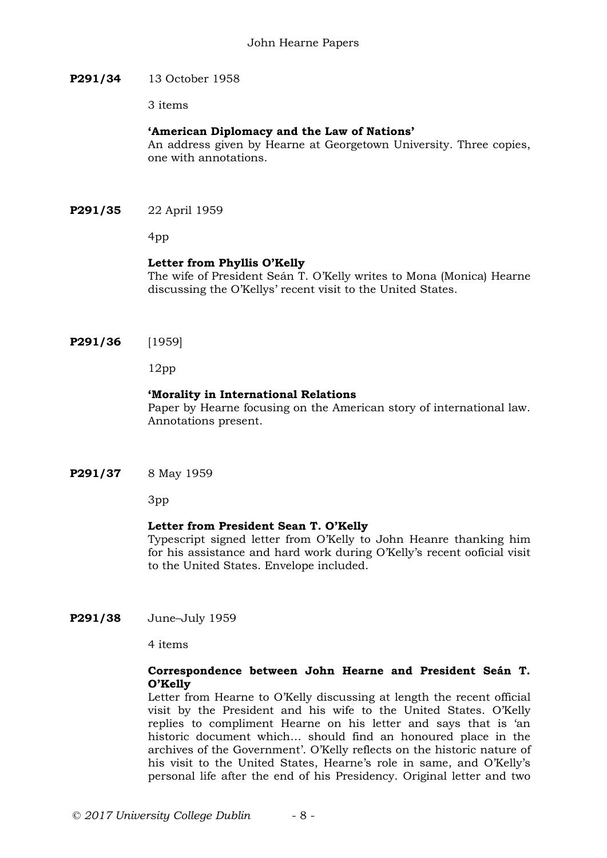### **P291/34** 13 October 1958

3 items

### **'American Diplomacy and the Law of Nations'**

An address given by Hearne at Georgetown University. Three copies, one with annotations.

**P291/35** 22 April 1959

4pp

## **Letter from Phyllis O'Kelly**

The wife of President Seán T. O'Kelly writes to Mona (Monica) Hearne discussing the O'Kellys' recent visit to the United States.

**P291/36** [1959]

12pp

### **'Morality in International Relations**

Paper by Hearne focusing on the American story of international law. Annotations present.

**P291/37** 8 May 1959

3pp

# **Letter from President Sean T. O'Kelly**

Typescript signed letter from O'Kelly to John Heanre thanking him for his assistance and hard work during O'Kelly's recent ooficial visit to the United States. Envelope included.

**P291/38** June–July 1959

4 items

## **Correspondence between John Hearne and President Seán T. O'Kelly**

Letter from Hearne to O'Kelly discussing at length the recent official visit by the President and his wife to the United States. O'Kelly replies to compliment Hearne on his letter and says that is 'an historic document which… should find an honoured place in the archives of the Government'. O'Kelly reflects on the historic nature of his visit to the United States, Hearne's role in same, and O'Kelly's personal life after the end of his Presidency. Original letter and two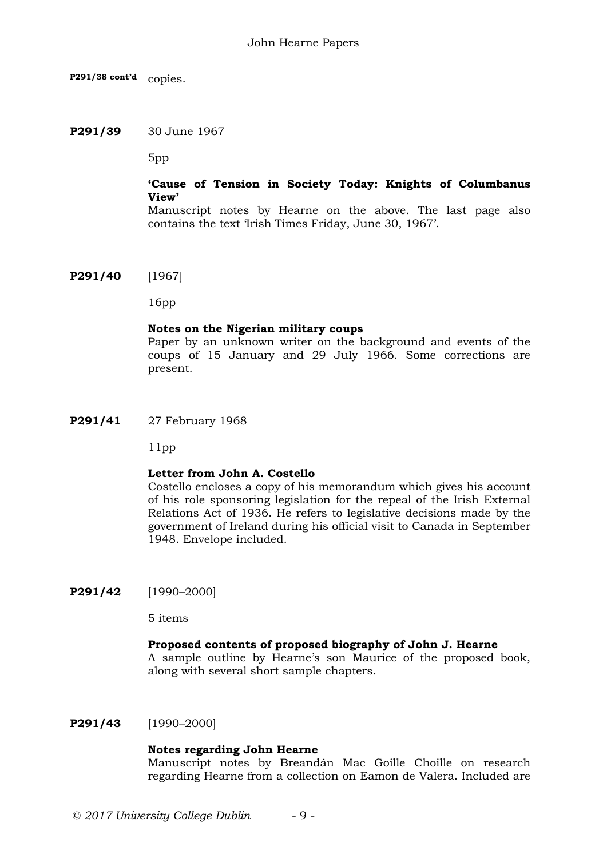**P291/38 cont'd** copies.

### **P291/39** 30 June 1967

5pp

# **'Cause of Tension in Society Today: Knights of Columbanus View'**

Manuscript notes by Hearne on the above. The last page also contains the text 'Irish Times Friday, June 30, 1967'.

**P291/40** [1967]

16pp

### **Notes on the Nigerian military coups**

Paper by an unknown writer on the background and events of the coups of 15 January and 29 July 1966. Some corrections are present.

**P291/41** 27 February 1968

11pp

### **Letter from John A. Costello**

Costello encloses a copy of his memorandum which gives his account of his role sponsoring legislation for the repeal of the Irish External Relations Act of 1936. He refers to legislative decisions made by the government of Ireland during his official visit to Canada in September 1948. Envelope included.

**P291/42** [1990–2000]

5 items

### **Proposed contents of proposed biography of John J. Hearne**

A sample outline by Hearne's son Maurice of the proposed book, along with several short sample chapters.

**P291/43** [1990–2000]

### **Notes regarding John Hearne**

Manuscript notes by Breandán Mac Goille Choille on research regarding Hearne from a collection on Eamon de Valera. Included are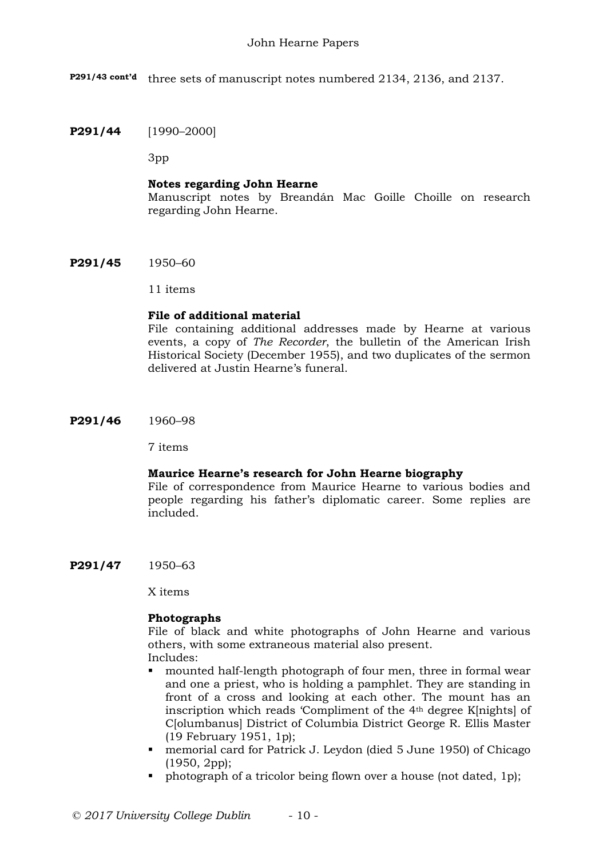**P291/43 cont'd** three sets of manuscript notes numbered 2134, 2136, and 2137.

## **P291/44** [1990–2000]

3pp

### **Notes regarding John Hearne**

Manuscript notes by Breandán Mac Goille Choille on research regarding John Hearne.

**P291/45** 1950–60

### 11 items

# **File of additional material**

File containing additional addresses made by Hearne at various events, a copy of *The Recorder*, the bulletin of the American Irish Historical Society (December 1955), and two duplicates of the sermon delivered at Justin Hearne's funeral.

**P291/46** 1960–98

7 items

### **Maurice Hearne's research for John Hearne biography**

File of correspondence from Maurice Hearne to various bodies and people regarding his father's diplomatic career. Some replies are included.

**P291/47** 1950–63

X items

### **Photographs**

File of black and white photographs of John Hearne and various others, with some extraneous material also present. Includes:

- mounted half-length photograph of four men, three in formal wear and one a priest, who is holding a pamphlet. They are standing in front of a cross and looking at each other. The mount has an inscription which reads 'Compliment of the 4th degree K[nights] of C[olumbanus] District of Columbia District George R. Ellis Master (19 February 1951, 1p);
- memorial card for Patrick J. Leydon (died 5 June 1950) of Chicago (1950, 2pp);
- photograph of a tricolor being flown over a house (not dated, 1p);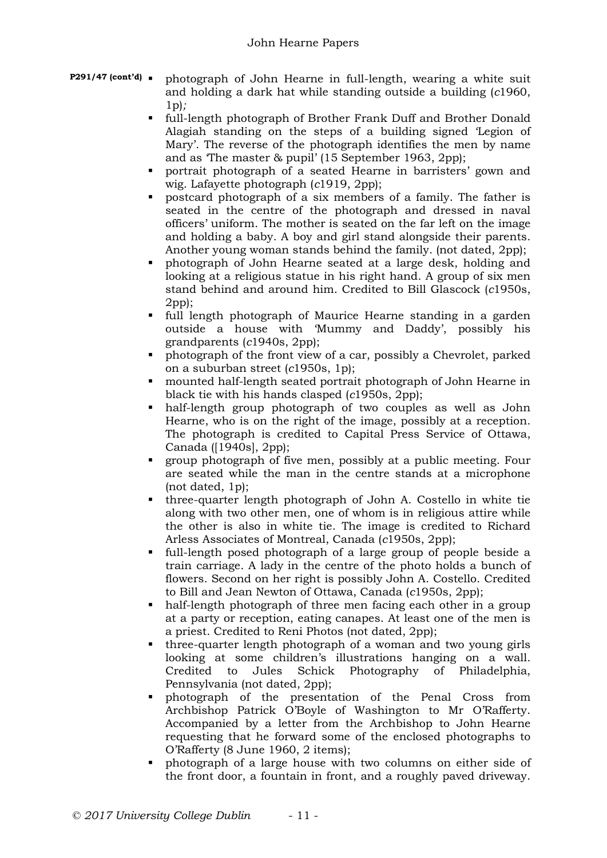- **P291/47** (cont'd) **photograph of John Hearne in full-length, wearing a white suit** and holding a dark hat while standing outside a building (*c*1960, 1p)*;*
	- full-length photograph of Brother Frank Duff and Brother Donald Alagiah standing on the steps of a building signed 'Legion of Mary'. The reverse of the photograph identifies the men by name and as 'The master & pupil' (15 September 1963, 2pp);
	- portrait photograph of a seated Hearne in barristers' gown and wig. Lafayette photograph (*c*1919, 2pp);
	- postcard photograph of a six members of a family. The father is seated in the centre of the photograph and dressed in naval officers' uniform. The mother is seated on the far left on the image and holding a baby. A boy and girl stand alongside their parents. Another young woman stands behind the family. (not dated, 2pp);
	- photograph of John Hearne seated at a large desk, holding and looking at a religious statue in his right hand. A group of six men stand behind and around him. Credited to Bill Glascock (*c*1950s, 2pp);
	- full length photograph of Maurice Hearne standing in a garden outside a house with 'Mummy and Daddy', possibly his grandparents (*c*1940s, 2pp);
	- photograph of the front view of a car, possibly a Chevrolet, parked on a suburban street (*c*1950s, 1p);
	- mounted half-length seated portrait photograph of John Hearne in black tie with his hands clasped (*c*1950s, 2pp);
	- half-length group photograph of two couples as well as John Hearne, who is on the right of the image, possibly at a reception. The photograph is credited to Capital Press Service of Ottawa, Canada ([1940s], 2pp);
	- group photograph of five men, possibly at a public meeting. Four are seated while the man in the centre stands at a microphone (not dated, 1p);
	- three-quarter length photograph of John A. Costello in white tie along with two other men, one of whom is in religious attire while the other is also in white tie. The image is credited to Richard Arless Associates of Montreal, Canada (*c*1950s, 2pp);
	- full-length posed photograph of a large group of people beside a train carriage. A lady in the centre of the photo holds a bunch of flowers. Second on her right is possibly John A. Costello. Credited to Bill and Jean Newton of Ottawa, Canada (*c*1950s, 2pp);
	- half-length photograph of three men facing each other in a group at a party or reception, eating canapes. At least one of the men is a priest. Credited to Reni Photos (not dated, 2pp);
	- three-quarter length photograph of a woman and two young girls looking at some children's illustrations hanging on a wall. Credited to Jules Schick Photography of Philadelphia, Pennsylvania (not dated, 2pp);
	- photograph of the presentation of the Penal Cross from Archbishop Patrick O'Boyle of Washington to Mr O'Rafferty. Accompanied by a letter from the Archbishop to John Hearne requesting that he forward some of the enclosed photographs to O'Rafferty (8 June 1960, 2 items);
	- photograph of a large house with two columns on either side of the front door, a fountain in front, and a roughly paved driveway.